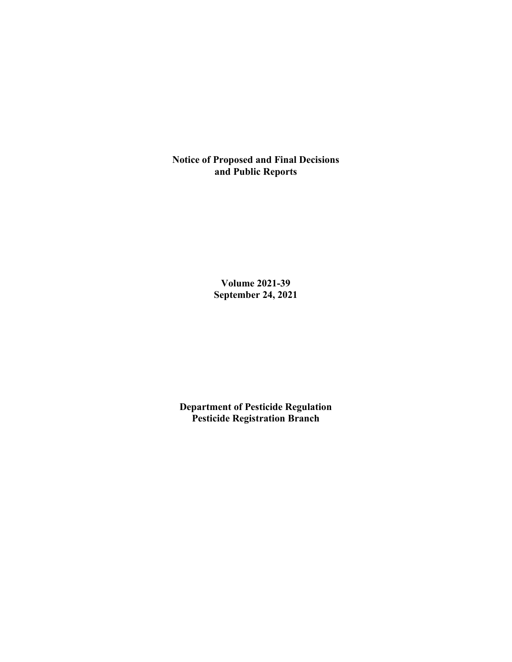**Notice of Proposed and Final Decisions and Public Reports**

> **Volume 2021-39 September 24, 2021**

**Department of Pesticide Regulation Pesticide Registration Branch**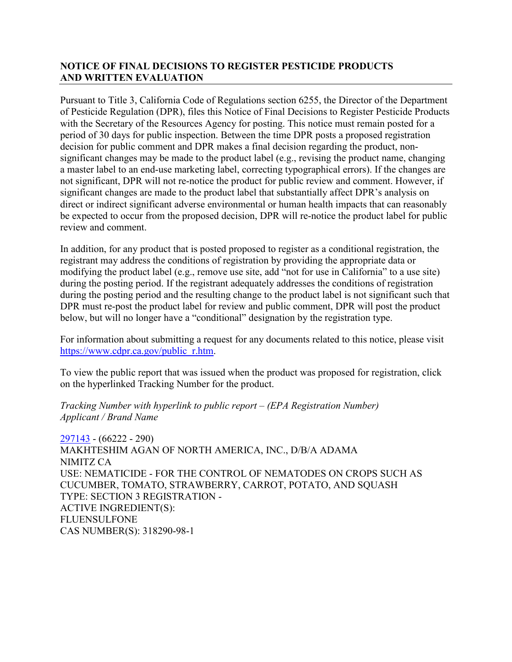# **NOTICE OF FINAL DECISIONS TO REGISTER PESTICIDE PRODUCTS AND WRITTEN EVALUATION**

Pursuant to Title 3, California Code of Regulations section 6255, the Director of the Department of Pesticide Regulation (DPR), files this Notice of Final Decisions to Register Pesticide Products with the Secretary of the Resources Agency for posting. This notice must remain posted for a period of 30 days for public inspection. Between the time DPR posts a proposed registration decision for public comment and DPR makes a final decision regarding the product, nonsignificant changes may be made to the product label (e.g., revising the product name, changing a master label to an end-use marketing label, correcting typographical errors). If the changes are not significant, DPR will not re-notice the product for public review and comment. However, if significant changes are made to the product label that substantially affect DPR's analysis on direct or indirect significant adverse environmental or human health impacts that can reasonably be expected to occur from the proposed decision, DPR will re-notice the product label for public review and comment.

In addition, for any product that is posted proposed to register as a conditional registration, the registrant may address the conditions of registration by providing the appropriate data or modifying the product label (e.g., remove use site, add "not for use in California" to a use site) during the posting period. If the registrant adequately addresses the conditions of registration during the posting period and the resulting change to the product label is not significant such that DPR must re-post the product label for review and public comment, DPR will post the product below, but will no longer have a "conditional" designation by the registration type.

For information about submitting a request for any documents related to this notice, please visit [https://www.cdpr.ca.gov/public\\_r.htm.](https://www.cdpr.ca.gov/public_r.htm)

To view the public report that was issued when the product was proposed for registration, click on the hyperlinked Tracking Number for the product.

### *Tracking Number with hyperlink to public report – (EPA Registration Number) Applicant / Brand Name*

[297143](https://www.cdpr.ca.gov/docs/registration/nod/public_reports/297143.pdf) - (66222 - 290) MAKHTESHIM AGAN OF NORTH AMERICA, INC., D/B/A ADAMA NIMITZ CA USE: NEMATICIDE - FOR THE CONTROL OF NEMATODES ON CROPS SUCH AS CUCUMBER, TOMATO, STRAWBERRY, CARROT, POTATO, AND SQUASH TYPE: SECTION 3 REGISTRATION - ACTIVE INGREDIENT(S): FLUENSULFONE CAS NUMBER(S): 318290-98-1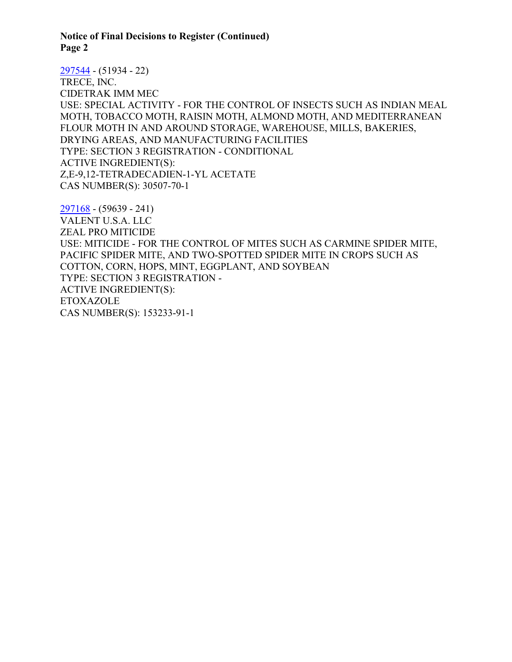**Notice of Final Decisions to Register (Continued) Page 2**

[297544](https://www.cdpr.ca.gov/docs/registration/nod/public_reports/297544.pdf) - (51934 - 22) TRECE, INC. CIDETRAK IMM MEC USE: SPECIAL ACTIVITY - FOR THE CONTROL OF INSECTS SUCH AS INDIAN MEAL MOTH, TOBACCO MOTH, RAISIN MOTH, ALMOND MOTH, AND MEDITERRANEAN FLOUR MOTH IN AND AROUND STORAGE, WAREHOUSE, MILLS, BAKERIES, DRYING AREAS, AND MANUFACTURING FACILITIES TYPE: SECTION 3 REGISTRATION - CONDITIONAL ACTIVE INGREDIENT(S): Z,E-9,12-TETRADECADIEN-1-YL ACETATE CAS NUMBER(S): 30507-70-1

[297168](https://www.cdpr.ca.gov/docs/registration/nod/public_reports/297168.pdf) - (59639 - 241) VALENT U.S.A. LLC ZEAL PRO MITICIDE USE: MITICIDE - FOR THE CONTROL OF MITES SUCH AS CARMINE SPIDER MITE, PACIFIC SPIDER MITE, AND TWO-SPOTTED SPIDER MITE IN CROPS SUCH AS COTTON, CORN, HOPS, MINT, EGGPLANT, AND SOYBEAN TYPE: SECTION 3 REGISTRATION - ACTIVE INGREDIENT(S): ETOXAZOLE CAS NUMBER(S): 153233-91-1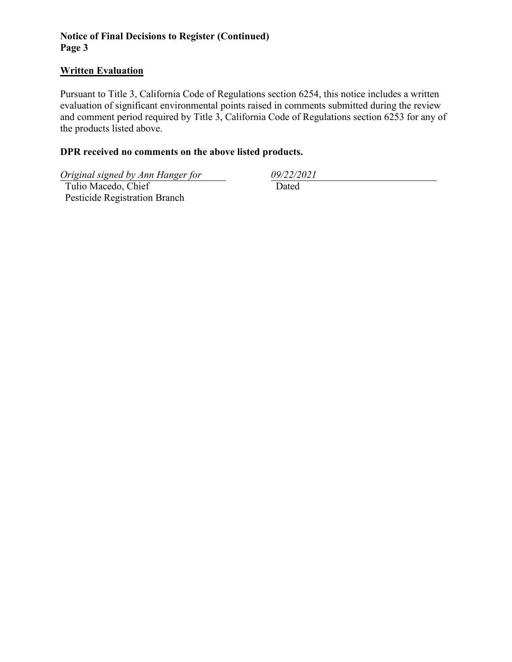# **Notice of Final Decisions to Register (Continued) Page 3**

### **Written Evaluation**

Pursuant to Title 3, California Code of Regulations section 6254, this notice includes a written evaluation of significant environmental points raised in comments submitted during the review and comment period required by Title 3, California Code of Regulations section 6253 for any of the products listed above.

### **DPR received no comments on the above listed products.**

*Original signed by Ann Hanger for 09/22/2021*

 Tulio Macedo, Chief Pesticide Registration Branch

Dated